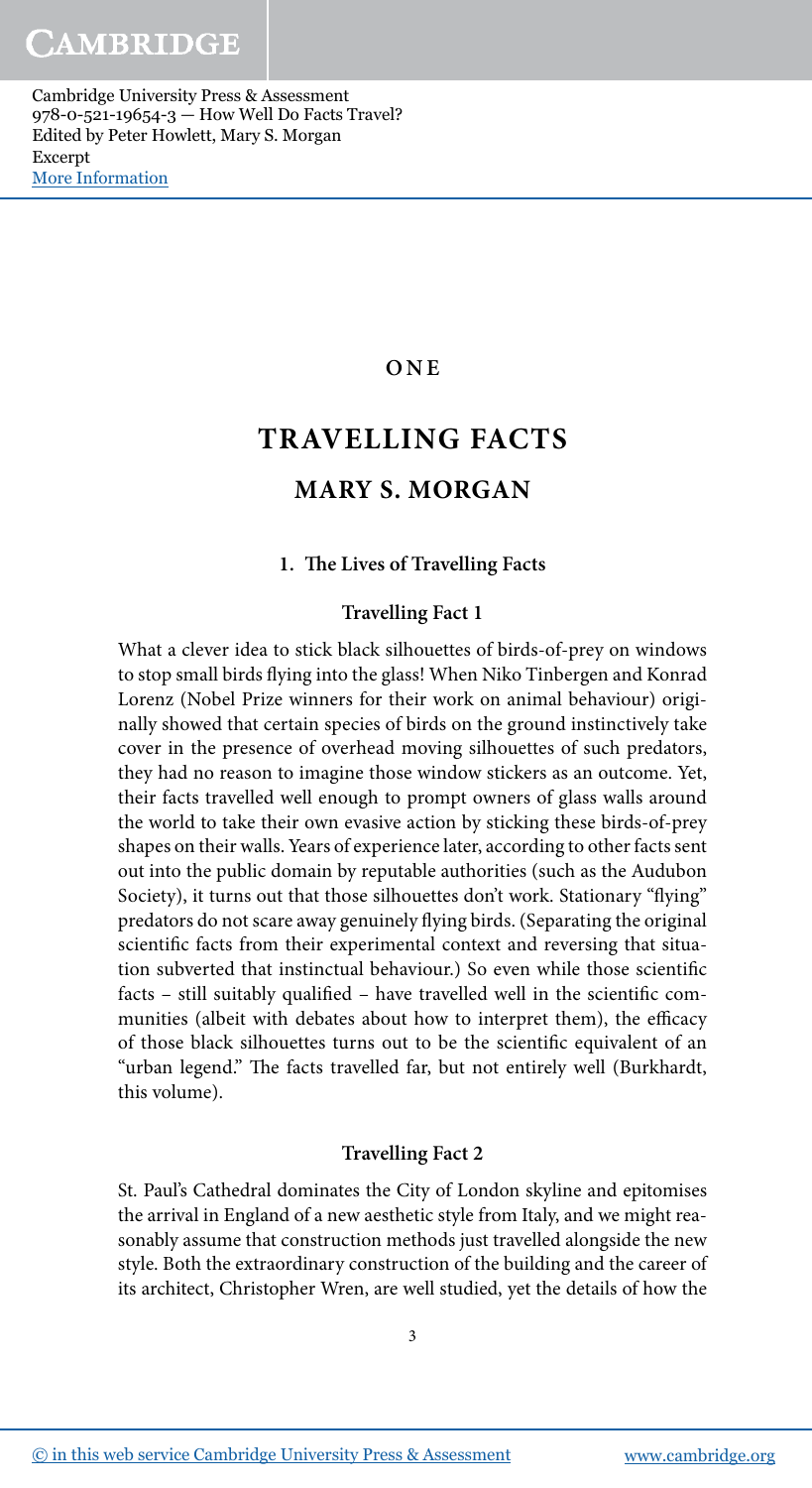# **O N E**

# **TRAVELLING FACTS MARY S. MORGAN**

# 1. The Lives of Travelling Facts

# **Travelling Fact 1**

 What a clever idea to stick black silhouettes of birds-of-prey on windows to stop small birds flying into the glass! When Niko Tinbergen and Konrad Lorenz (Nobel Prize winners for their work on animal behaviour) originally showed that certain species of birds on the ground instinctively take cover in the presence of overhead moving silhouettes of such predators, they had no reason to imagine those window stickers as an outcome. Yet, their facts travelled well enough to prompt owners of glass walls around the world to take their own evasive action by sticking these birds-of-prey shapes on their walls. Years of experience later, according to other facts sent out into the public domain by reputable authorities (such as the Audubon Society), it turns out that those silhouettes don't work. Stationary "flying" predators do not scare away genuinely flying birds. (Separating the original scientific facts from their experimental context and reversing that situation subverted that instinctual behaviour.) So even while those scientific facts - still suitably qualified - have travelled well in the scientific communities (albeit with debates about how to interpret them), the efficacy of those black silhouettes turns out to be the scientific equivalent of an "urban legend." The facts travelled far, but not entirely well (Burkhardt, this volume).

# **Travelling Fact 2**

 St. Paul's Cathedral dominates the City of London skyline and epitomises the arrival in England of a new aesthetic style from Italy, and we might reasonably assume that construction methods just travelled alongside the new style. Both the extraordinary construction of the building and the career of its architect, Christopher Wren, are well studied, yet the details of how the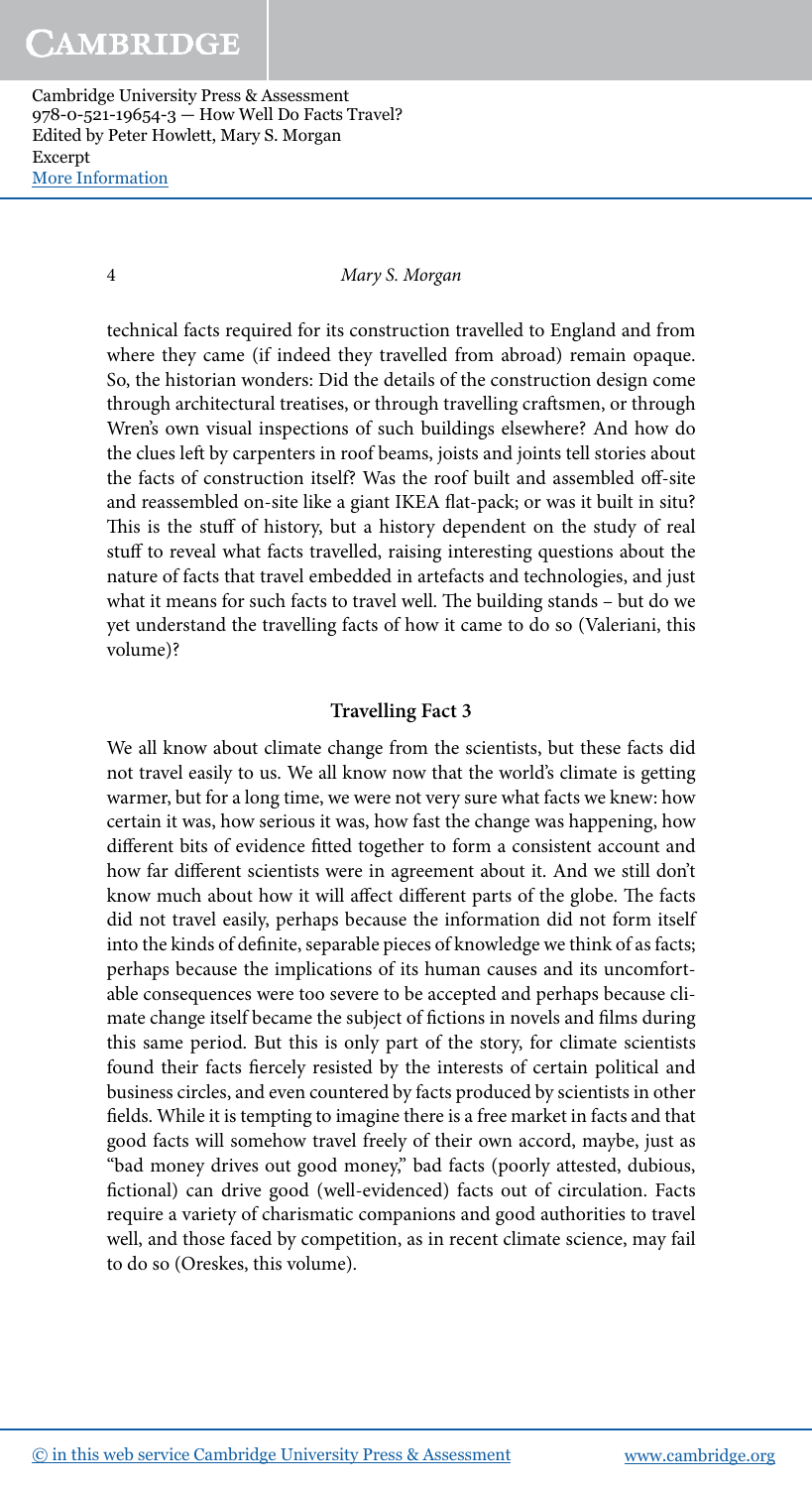4 Mary S. Morgan

technical facts required for its construction travelled to England and from where they came (if indeed they travelled from abroad) remain opaque. So, the historian wonders: Did the details of the construction design come through architectural treatises, or through travelling craftsmen, or through Wren's own visual inspections of such buildings elsewhere? And how do the clues left by carpenters in roof beams, joists and joints tell stories about the facts of construction itself? Was the roof built and assembled off-site and reassembled on-site like a giant IKEA flat-pack; or was it built in situ? This is the stuff of history, but a history dependent on the study of real stuff to reveal what facts travelled, raising interesting questions about the nature of facts that travel embedded in artefacts and technologies, and just what it means for such facts to travel well. The building stands – but do we yet understand the travelling facts of how it came to do so (Valeriani, this volume)?

## **Travelling Fact 3**

 We all know about climate change from the scientists, but these facts did not travel easily to us. We all know now that the world's climate is getting warmer, but for a long time, we were not very sure what facts we knew: how certain it was, how serious it was, how fast the change was happening, how different bits of evidence fitted together to form a consistent account and how far different scientists were in agreement about it. And we still don't know much about how it will affect different parts of the globe. The facts did not travel easily, perhaps because the information did not form itself into the kinds of definite, separable pieces of knowledge we think of as facts; perhaps because the implications of its human causes and its uncomfortable consequences were too severe to be accepted and perhaps because climate change itself became the subject of fictions in novels and films during this same period. But this is only part of the story, for climate scientists found their facts fiercely resisted by the interests of certain political and business circles, and even countered by facts produced by scientists in other fields. While it is tempting to imagine there is a free market in facts and that good facts will somehow travel freely of their own accord, maybe, just as "bad money drives out good money," bad facts (poorly attested, dubious, fictional) can drive good (well-evidenced) facts out of circulation. Facts require a variety of charismatic companions and good authorities to travel well, and those faced by competition, as in recent climate science, may fail to do so (Oreskes, this volume).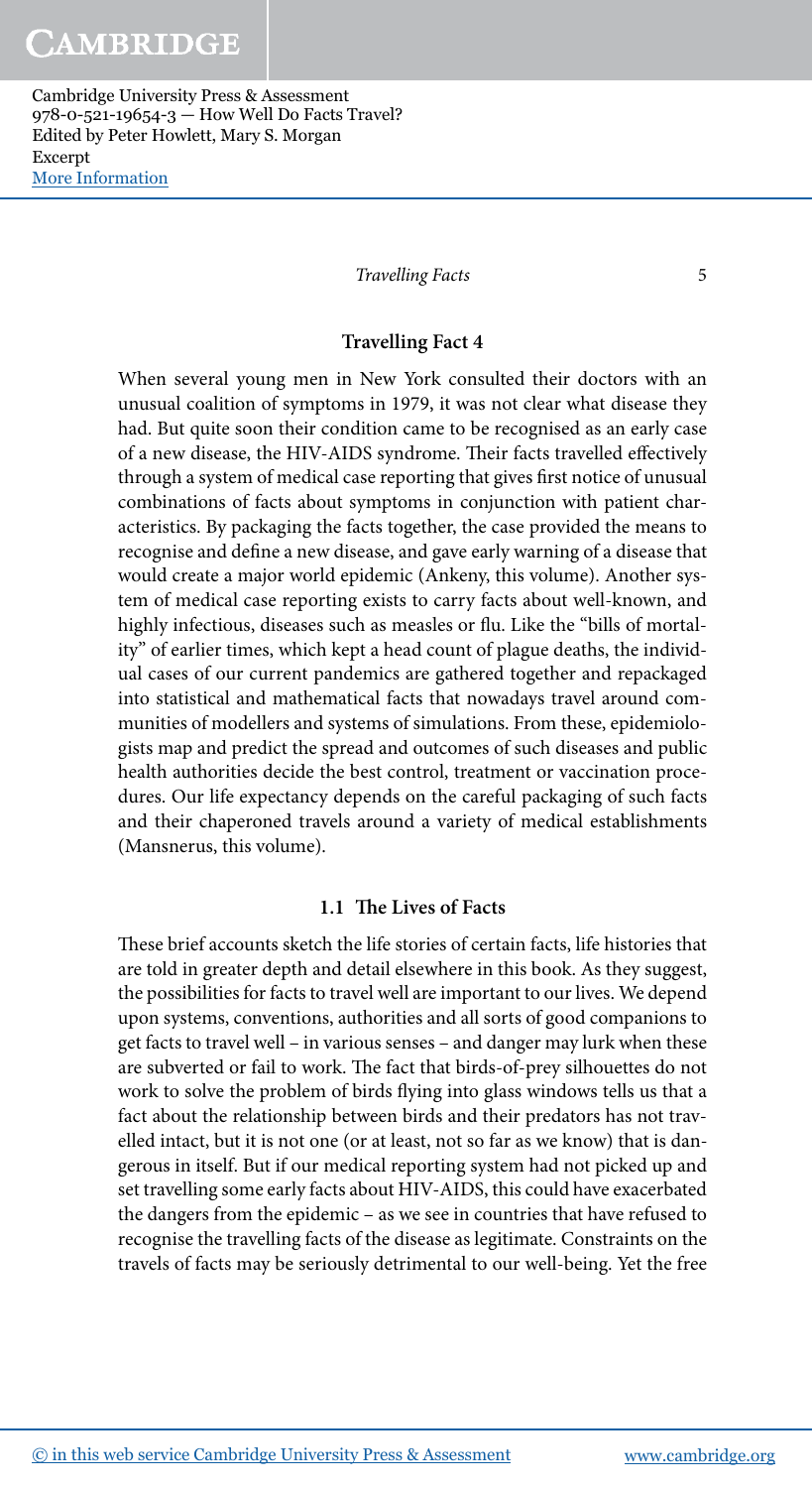## Travelling Facts 5

# **Travelling Fact 4**

 When several young men in New York consulted their doctors with an unusual coalition of symptoms in 1979, it was not clear what disease they had. But quite soon their condition came to be recognised as an early case of a new disease, the HIV-AIDS syndrome. Their facts travelled effectively through a system of medical case reporting that gives first notice of unusual combinations of facts about symptoms in conjunction with patient characteristics. By packaging the facts together, the case provided the means to recognise and define a new disease, and gave early warning of a disease that would create a major world epidemic (Ankeny, this volume). Another system of medical case reporting exists to carry facts about well-known, and highly infectious, diseases such as measles or flu. Like the "bills of mortality" of earlier times, which kept a head count of plague deaths, the individual cases of our current pandemics are gathered together and repackaged into statistical and mathematical facts that nowadays travel around communities of modellers and systems of simulations. From these, epidemiologists map and predict the spread and outcomes of such diseases and public health authorities decide the best control, treatment or vaccination procedures. Our life expectancy depends on the careful packaging of such facts and their chaperoned travels around a variety of medical establishments (Mansnerus, this volume).

## 1.1 The Lives of Facts

These brief accounts sketch the life stories of certain facts, life histories that are told in greater depth and detail elsewhere in this book. As they suggest, the possibilities for facts to travel well are important to our lives. We depend upon systems, conventions, authorities and all sorts of good companions to get facts to travel well – in various senses – and danger may lurk when these are subverted or fail to work. The fact that birds-of-prey silhouettes do not work to solve the problem of birds flying into glass windows tells us that a fact about the relationship between birds and their predators has not travelled intact, but it is not one (or at least, not so far as we know) that is dangerous in itself. But if our medical reporting system had not picked up and set travelling some early facts about HIV-AIDS, this could have exacerbated the dangers from the epidemic – as we see in countries that have refused to recognise the travelling facts of the disease as legitimate. Constraints on the travels of facts may be seriously detrimental to our well-being. Yet the free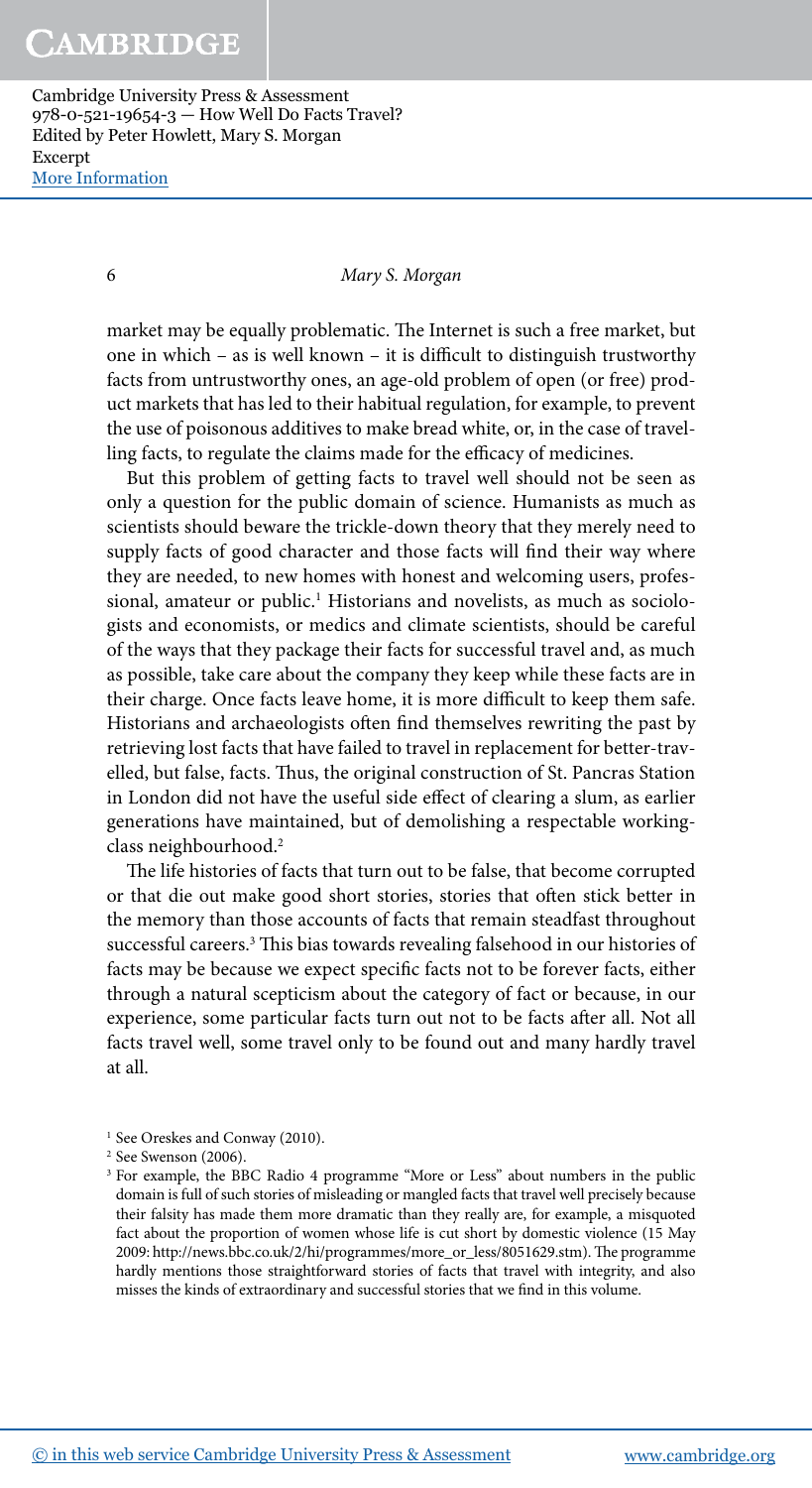#### 6 Mary S. Morgan

market may be equally problematic. The Internet is such a free market, but one in which – as is well known – it is difficult to distinguish trustworthy facts from untrustworthy ones, an age-old problem of open (or free) product markets that has led to their habitual regulation, for example, to prevent the use of poisonous additives to make bread white, or, in the case of travelling facts, to regulate the claims made for the efficacy of medicines.

 But this problem of getting facts to travel well should not be seen as only a question for the public domain of science. Humanists as much as scientists should beware the trickle-down theory that they merely need to supply facts of good character and those facts will find their way where they are needed, to new homes with honest and welcoming users, professional, amateur or public.<sup>1</sup> Historians and novelists, as much as sociologists and economists, or medics and climate scientists, should be careful of the ways that they package their facts for successful travel and, as much as possible, take care about the company they keep while these facts are in their charge. Once facts leave home, it is more difficult to keep them safe. Historians and archaeologists often find themselves rewriting the past by retrieving lost facts that have failed to travel in replacement for better-travelled, but false, facts. Thus, the original construction of St. Pancras Station in London did not have the useful side effect of clearing a slum, as earlier generations have maintained, but of demolishing a respectable workingclass neighbourhood.<sup>2</sup>

The life histories of facts that turn out to be false, that become corrupted or that die out make good short stories, stories that often stick better in the memory than those accounts of facts that remain steadfast throughout successful careers.<sup>3</sup> This bias towards revealing falsehood in our histories of facts may be because we expect specific facts not to be forever facts, either through a natural scepticism about the category of fact or because, in our experience, some particular facts turn out not to be facts after all. Not all facts travel well, some travel only to be found out and many hardly travel at all.

 $1$  See Oreskes and Conway (2010).

 $2$  See Swenson (2006).

<sup>&</sup>lt;sup>3</sup> For example, the BBC Radio 4 programme "More or Less" about numbers in the public domain is full of such stories of misleading or mangled facts that travel well precisely because their falsity has made them more dramatic than they really are, for example, a misquoted fact about the proportion of women whose life is cut short by domestic violence (15 May 2009: http://news.bbc.co.uk/2/hi/programmes/more\_or\_less/8051629.stm). The programme hardly mentions those straightforward stories of facts that travel with integrity, and also misses the kinds of extraordinary and successful stories that we find in this volume.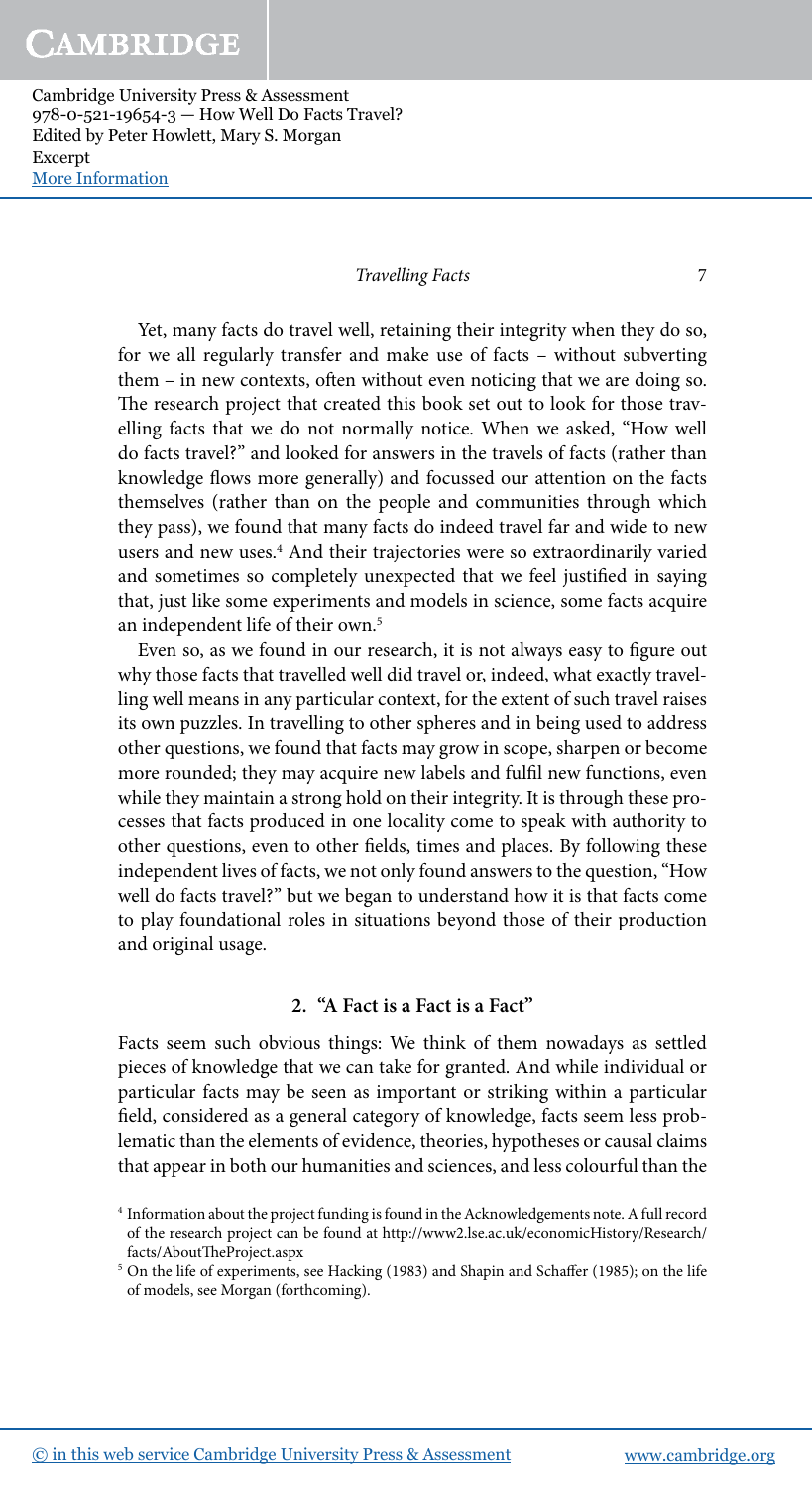#### Travelling Facts 7

 Yet, many facts do travel well, retaining their integrity when they do so, for we all regularly transfer and make use of facts – without subverting them - in new contexts, often without even noticing that we are doing so. The research project that created this book set out to look for those travelling facts that we do not normally notice. When we asked, "How well do facts travel?" and looked for answers in the travels of facts (rather than knowledge flows more generally) and focussed our attention on the facts themselves (rather than on the people and communities through which they pass), we found that many facts do indeed travel far and wide to new users and new uses.<sup>4</sup> And their trajectories were so extraordinarily varied and sometimes so completely unexpected that we feel justified in saying that, just like some experiments and models in science, some facts acquire an independent life of their own. <sup>5</sup>

Even so, as we found in our research, it is not always easy to figure out why those facts that travelled well did travel or, indeed, what exactly travelling well means in any particular context, for the extent of such travel raises its own puzzles. In travelling to other spheres and in being used to address other questions, we found that facts may grow in scope, sharpen or become more rounded; they may acquire new labels and fulfil new functions, even while they maintain a strong hold on their integrity. It is through these processes that facts produced in one locality come to speak with authority to other questions, even to other fields, times and places. By following these independent lives of facts, we not only found answers to the question, "How well do facts travel?" but we began to understand how it is that facts come to play foundational roles in situations beyond those of their production and original usage.

## **2. "A Fact is a Fact is a Fact"**

 Facts seem such obvious things: We think of them nowadays as settled pieces of knowledge that we can take for granted. And while individual or particular facts may be seen as important or striking within a particular field, considered as a general category of knowledge, facts seem less problematic than the elements of evidence, theories, hypotheses or causal claims that appear in both our humanities and sciences, and less colourful than the

<sup>4</sup>Information about the project funding is found in the Acknowledgements note. A full record of the research project can be found at http://www2.lse.ac.uk/economicHistory/Research/ facts/AboutTheProject.aspx

<sup>&</sup>lt;sup>5</sup> On the life of experiments, see Hacking (1983) and Shapin and Schaffer (1985); on the life of models, see Morgan (forthcoming).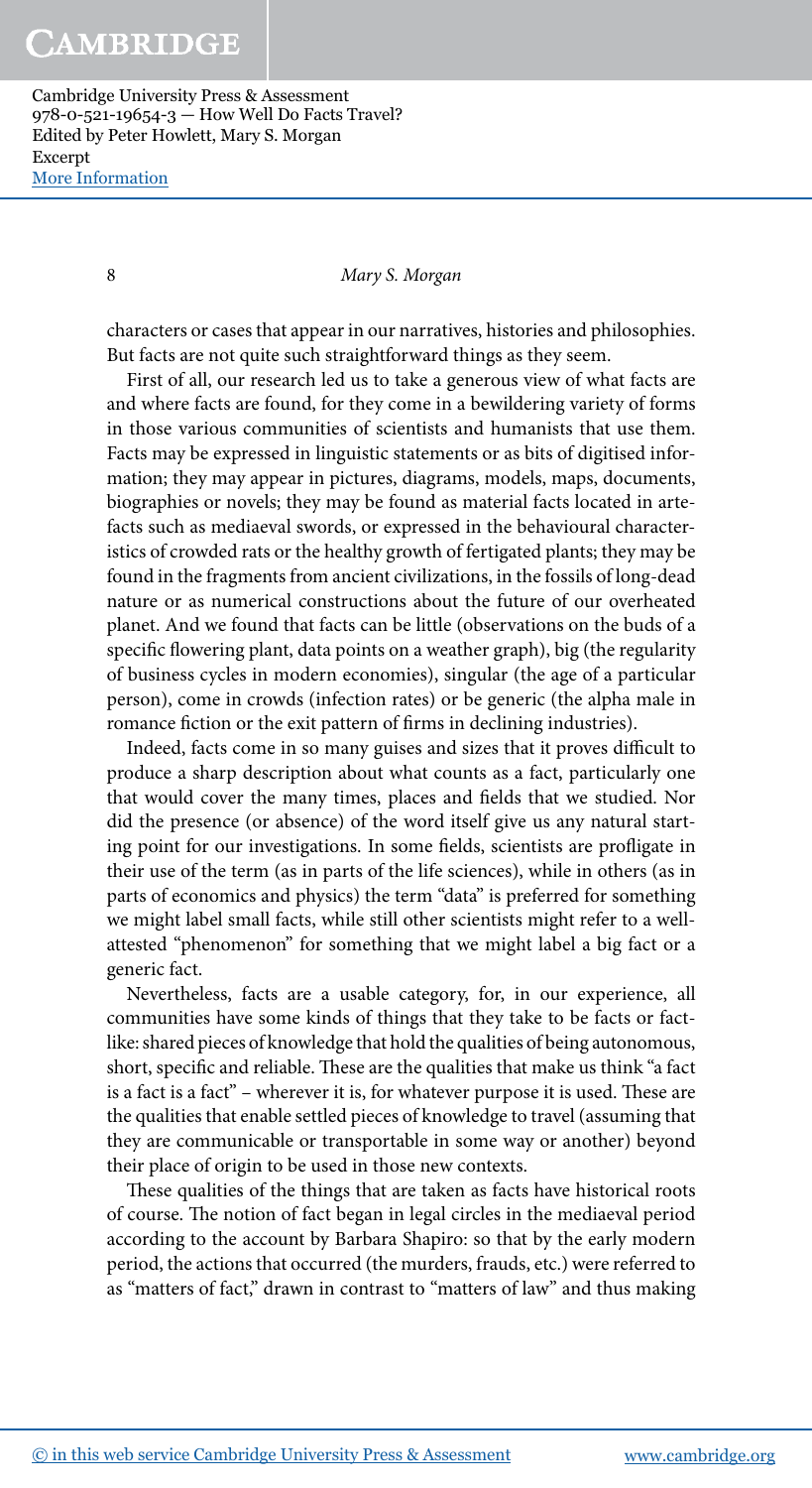8 Mary S. Morgan

characters or cases that appear in our narratives, histories and philosophies. But facts are not quite such straightforward things as they seem.

 First of all, our research led us to take a generous view of what facts are and where facts are found, for they come in a bewildering variety of forms in those various communities of scientists and humanists that use them. Facts may be expressed in linguistic statements or as bits of digitised information; they may appear in pictures, diagrams, models, maps, documents, biographies or novels; they may be found as material facts located in artefacts such as mediaeval swords, or expressed in the behavioural characteristics of crowded rats or the healthy growth of fertigated plants; they may be found in the fragments from ancient civilizations, in the fossils of long-dead nature or as numerical constructions about the future of our overheated planet. And we found that facts can be little (observations on the buds of a specific flowering plant, data points on a weather graph), big (the regularity of business cycles in modern economies), singular (the age of a particular person), come in crowds (infection rates) or be generic (the alpha male in romance fiction or the exit pattern of firms in declining industries).

Indeed, facts come in so many guises and sizes that it proves difficult to produce a sharp description about what counts as a fact, particularly one that would cover the many times, places and fields that we studied. Nor did the presence (or absence) of the word itself give us any natural starting point for our investigations. In some fields, scientists are profligate in their use of the term (as in parts of the life sciences), while in others (as in parts of economics and physics) the term "data" is preferred for something we might label small facts, while still other scientists might refer to a wellattested "phenomenon" for something that we might label a big fact or a generic fact.

 Nevertheless, facts are a usable category, for, in our experience, all communities have some kinds of things that they take to be facts or factlike: shared pieces of knowledge that hold the qualities of being autonomous, short, specific and reliable. These are the qualities that make us think "a fact is a fact is a fact" – wherever it is, for whatever purpose it is used. These are the qualities that enable settled pieces of knowledge to travel (assuming that they are communicable or transportable in some way or another) beyond their place of origin to be used in those new contexts.

These qualities of the things that are taken as facts have historical roots of course. The notion of fact began in legal circles in the mediaeval period according to the account by Barbara Shapiro: so that by the early modern period, the actions that occurred (the murders, frauds, etc.) were referred to as "matters of fact," drawn in contrast to "matters of law" and thus making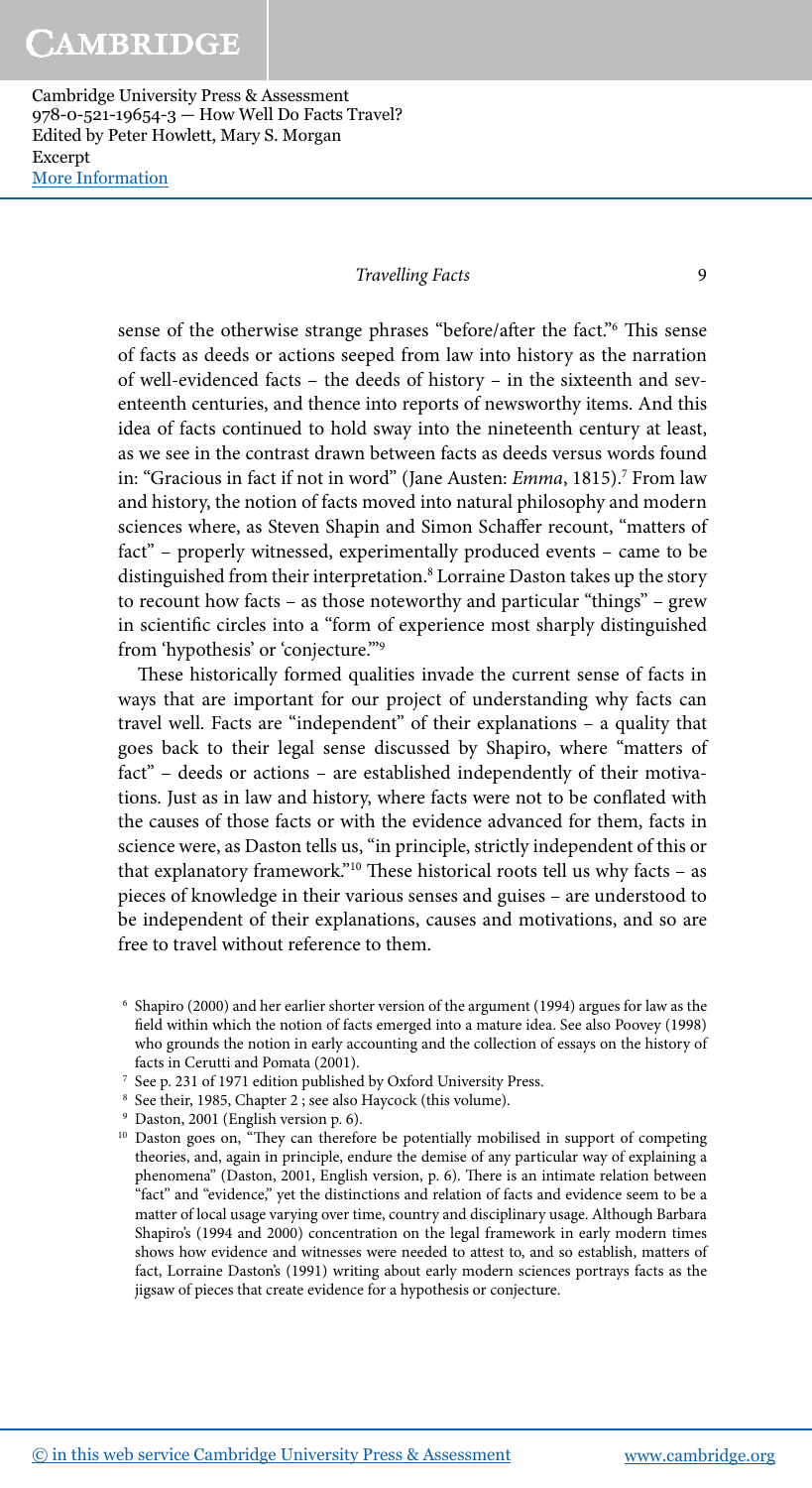#### Travelling Facts 9

sense of the otherwise strange phrases "before/after the fact."<sup>6</sup> This sense of facts as deeds or actions seeped from law into history as the narration of well-evidenced facts – the deeds of history – in the sixteenth and seventeenth centuries, and thence into reports of newsworthy items. And this idea of facts continued to hold sway into the nineteenth century at least, as we see in the contrast drawn between facts as deeds versus words found in: "Gracious in fact if not in word" (Jane Austen: Emma, 1815).<sup>7</sup> From law and history, the notion of facts moved into natural philosophy and modern sciences where, as Steven Shapin and Simon Schaffer recount, "matters of fact" – properly witnessed, experimentally produced events – came to be distinguished from their interpretation.<sup>8</sup> Lorraine Daston takes up the story to recount how facts – as those noteworthy and particular "things" – grew in scientific circles into a "form of experience most sharply distinguished from 'hypothesis' or 'conjecture."<sup>9</sup>

These historically formed qualities invade the current sense of facts in ways that are important for our project of understanding why facts can travel well. Facts are "independent" of their explanations – a quality that goes back to their legal sense discussed by Shapiro, where "matters of fact" – deeds or actions – are established independently of their motivations. Just as in law and history, where facts were not to be conflated with the causes of those facts or with the evidence advanced for them, facts in science were, as Daston tells us, "in principle, strictly independent of this or that explanatory framework."<sup>10</sup> These historical roots tell us why facts - as pieces of knowledge in their various senses and guises – are understood to be independent of their explanations, causes and motivations, and so are free to travel without reference to them.

- $6$  Shapiro (2000) and her earlier shorter version of the argument (1994) argues for law as the field within which the notion of facts emerged into a mature idea. See also Poovey (1998) who grounds the notion in early accounting and the collection of essays on the history of facts in Cerutti and Pomata (2001).
- <sup>7</sup> See p. 231 of 1971 edition published by Oxford University Press.
- <sup>8</sup> See their, 1985, Chapter 2 ; see also Haycock (this volume).
- <sup>9</sup> Daston, 2001 (English version p. 6).
- <sup>10</sup> Daston goes on, "They can therefore be potentially mobilised in support of competing theories, and, again in principle, endure the demise of any particular way of explaining a phenomena" (Daston, 2001, English version, p. 6). There is an intimate relation between "fact" and "evidence," yet the distinctions and relation of facts and evidence seem to be a matter of local usage varying over time, country and disciplinary usage. Although Barbara Shapiro's (1994 and 2000) concentration on the legal framework in early modern times shows how evidence and witnesses were needed to attest to, and so establish, matters of fact, Lorraine Daston's (1991) writing about early modern sciences portrays facts as the jigsaw of pieces that create evidence for a hypothesis or conjecture.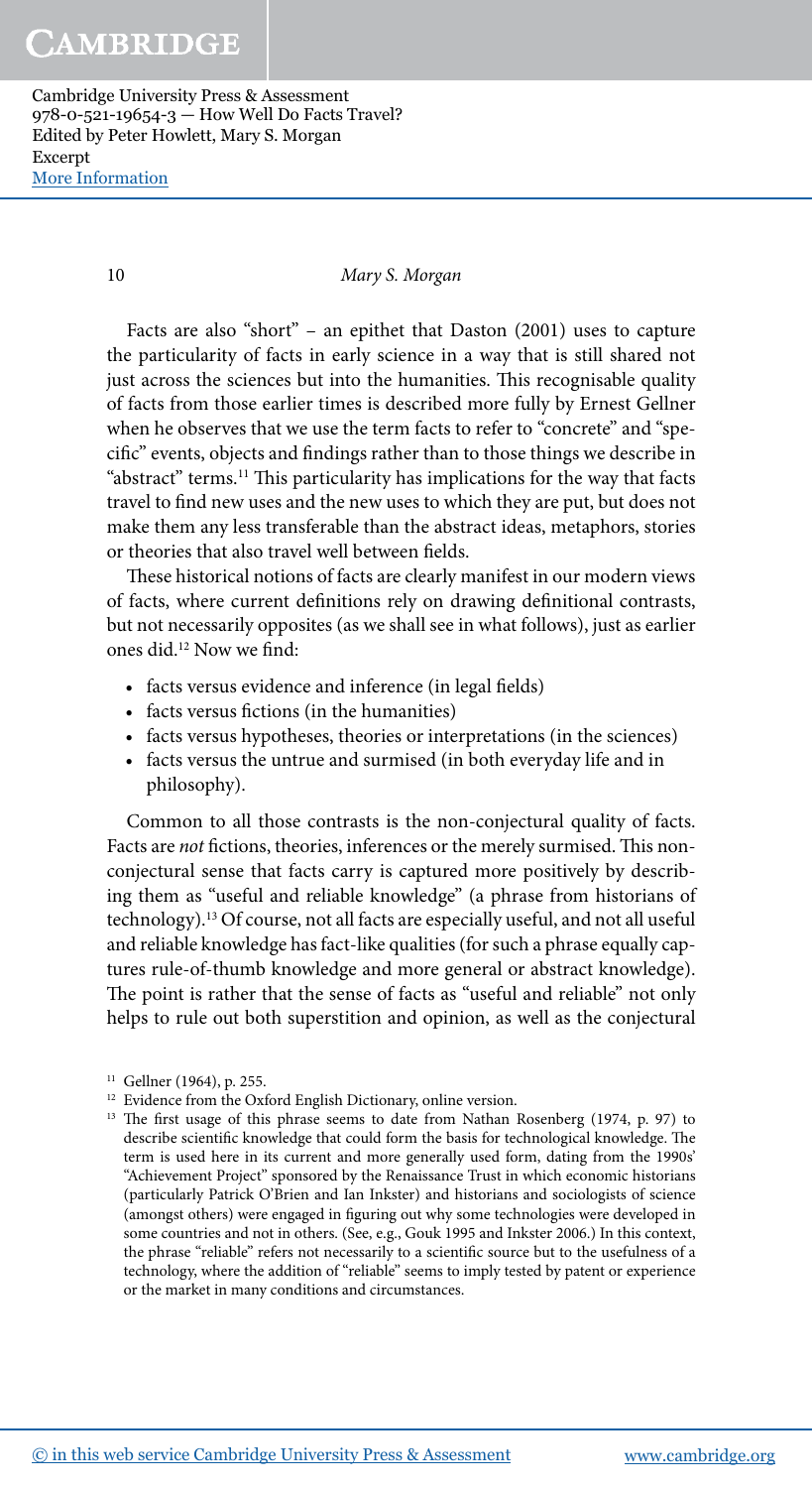#### 10 Mary S. Morgan

Facts are also "short" – an epithet that Daston  $(2001)$  uses to capture the particularity of facts in early science in a way that is still shared not just across the sciences but into the humanities. This recognisable quality of facts from those earlier times is described more fully by Ernest Gellner when he observes that we use the term facts to refer to "concrete" and "specific" events, objects and findings rather than to those things we describe in "abstract" terms.<sup>11</sup> This particularity has implications for the way that facts travel to find new uses and the new uses to which they are put, but does not make them any less transferable than the abstract ideas, metaphors, stories or theories that also travel well between fields.

These historical notions of facts are clearly manifest in our modern views of facts, where current definitions rely on drawing definitional contrasts, but not necessarily opposites (as we shall see in what follows), just as earlier ones did.<sup>12</sup> Now we find:

- facts versus evidence and inference (in legal fields)
- facts versus fictions (in the humanities)
- facts versus hypotheses, theories or interpretations (in the sciences)
- facts versus the untrue and surmised (in both everyday life and in philosophy).

 Common to all those contrasts is the non-conjectural quality of facts. Facts are not fictions, theories, inferences or the merely surmised. This nonconjectural sense that facts carry is captured more positively by describing them as "useful and reliable knowledge" (a phrase from historians of technology). <sup>13</sup> Of course, not all facts are especially useful, and not all useful and reliable knowledge has fact-like qualities (for such a phrase equally captures rule-of-thumb knowledge and more general or abstract knowledge). The point is rather that the sense of facts as "useful and reliable" not only helps to rule out both superstition and opinion, as well as the conjectural

 $11$  Gellner (1964), p. 255.

<sup>&</sup>lt;sup>12</sup> Evidence from the Oxford English Dictionary, online version.

<sup>&</sup>lt;sup>13</sup> The first usage of this phrase seems to date from Nathan Rosenberg (1974, p. 97) to describe scientific knowledge that could form the basis for technological knowledge. The term is used here in its current and more generally used form, dating from the 1990s' "Achievement Project" sponsored by the Renaissance Trust in which economic historians (particularly Patrick O'Brien and Ian Inkster) and historians and sociologists of science (amongst others) were engaged in figuring out why some technologies were developed in some countries and not in others. (See, e.g., Gouk 1995 and Inkster 2006.) In this context, the phrase "reliable" refers not necessarily to a scientific source but to the usefulness of a technology, where the addition of "reliable" seems to imply tested by patent or experience or the market in many conditions and circumstances.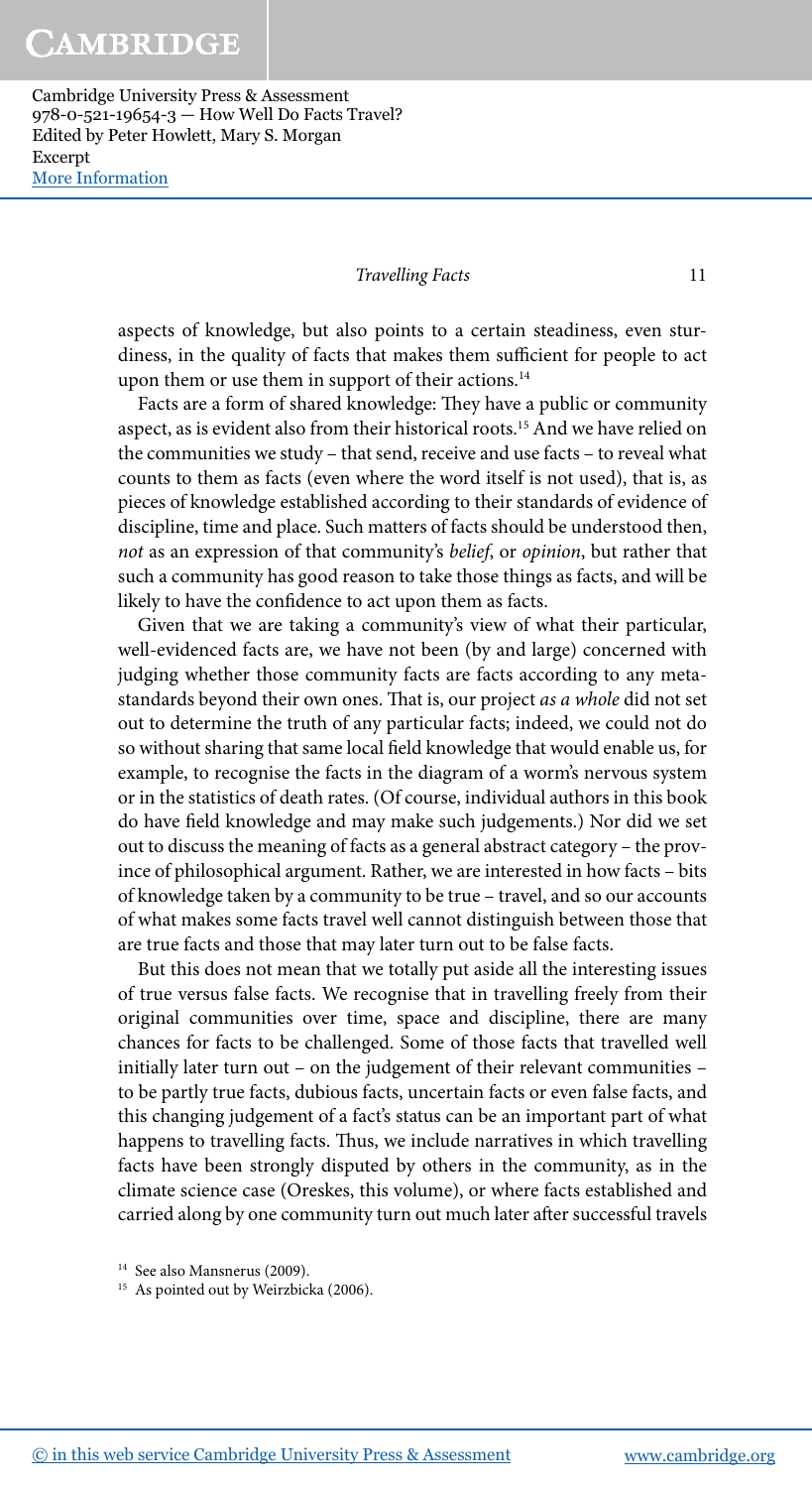#### Travelling Facts 11

aspects of knowledge, but also points to a certain steadiness, even sturdiness, in the quality of facts that makes them sufficient for people to act upon them or use them in support of their actions.<sup>14</sup>

Facts are a form of shared knowledge: They have a public or community aspect, as is evident also from their historical roots. <sup>15</sup> And we have relied on the communities we study – that send, receive and use facts – to reveal what counts to them as facts (even where the word itself is not used), that is, as pieces of knowledge established according to their standards of evidence of discipline, time and place. Such matters of facts should be understood then, not as an expression of that community's belief, or opinion, but rather that such a community has good reason to take those things as facts, and will be likely to have the confidence to act upon them as facts.

 Given that we are taking a community's view of what their particular, well-evidenced facts are, we have not been (by and large) concerned with judging whether those community facts are facts according to any metastandards beyond their own ones. That is, our project as a whole did not set out to determine the truth of any particular facts; indeed, we could not do so without sharing that same local field knowledge that would enable us, for example, to recognise the facts in the diagram of a worm's nervous system or in the statistics of death rates. (Of course, individual authors in this book do have field knowledge and may make such judgements.) Nor did we set out to discuss the meaning of facts as a general abstract category – the province of philosophical argument. Rather, we are interested in how facts – bits of knowledge taken by a community to be true – travel, and so our accounts of what makes some facts travel well cannot distinguish between those that are true facts and those that may later turn out to be false facts.

 But this does not mean that we totally put aside all the interesting issues of true versus false facts. We recognise that in travelling freely from their original communities over time, space and discipline, there are many chances for facts to be challenged. Some of those facts that travelled well initially later turn out – on the judgement of their relevant communities – to be partly true facts, dubious facts, uncertain facts or even false facts, and this changing judgement of a fact's status can be an important part of what happens to travelling facts. Thus, we include narratives in which travelling facts have been strongly disputed by others in the community, as in the climate science case (Oreskes, this volume), or where facts established and carried along by one community turn out much later after successful travels

<sup>&</sup>lt;sup>14</sup> See also Mansnerus (2009).

<sup>&</sup>lt;sup>15</sup> As pointed out by Weirzbicka (2006).